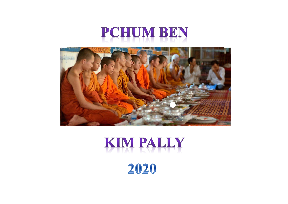



## **KIM PALLY**

2020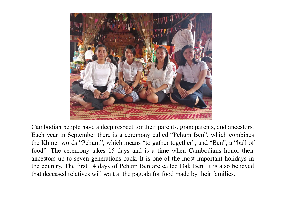

Cambodian people have a deep respect for their parents, grandparents, and ancestors. Each year in September there is a ceremony called "Pchum Ben", which combines the Khmer words "Pchum", which means "to gather together", and "Ben", a "ball of food". The ceremony takes 15 days and is a time when Cambodians honor their ancestors up to seven generations back. It is one of the most important holidays in the country. The first 14 days of Pchum Ben are called Dak Ben. It is also believed that deceased relatives will wait at the pagoda for food made by their families.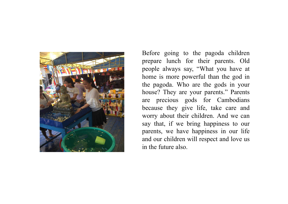

Before going to the pagoda children prepare lunch for their parents. Old people always say, "What you have at home is more powerful than the god in the pagoda. Who are the gods in your house? They are your parents." Parents are precious gods for Cambodians because they give life, take care and worry about their children. And we can say that, if we bring happiness to our parents, we have happiness in our life and our children will respect and love us in the future also.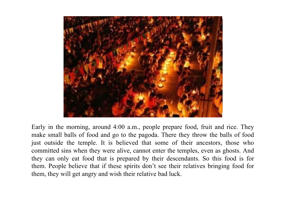

Early in the morning, around 4:00 a.m., people prepare food, fruit and rice. They make small balls of food and go to the pagoda. There they throw the balls of food just outside the temple. It is believed that some of their ancestors, those who committed sins when they were alive, cannot enter the temples, even as ghosts. And they can only eat food that is prepared by their descendants. So this food is for them. People believe that if these spirits don't see their relatives bringing food for them, they will get angry and wish their relative bad luck.